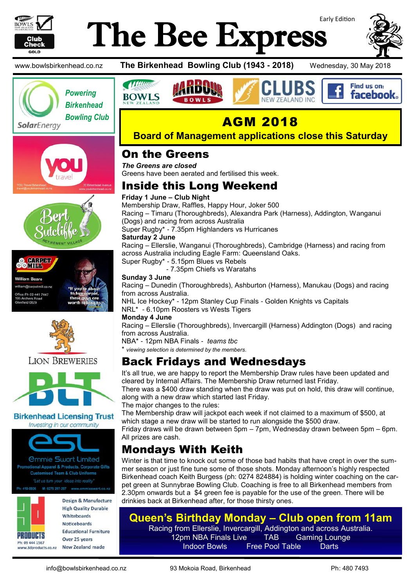

**O** CONDAP **OOMILL William Beare** am@carpetmill.co.n )<br>ffice Ph 09 441 7447<br>I95 Archers Road rchers R<br>eld 0629

# Early Edition The Bee Express



Find us on: **facebook** 

www.bowlsbirkenhead.co.nz **The Birkenhead Bowling Club (1943 - 2018)** Wednesday, 30 May 2018





*<u>Mum</u>* 

**BOWLS** 



**Board of Management applications close this Saturday**

#### On the Greens

*The Greens are closed* Greens have been aerated and fertilised this week.

#### Inside this Long Weekend

#### **Friday 1 June – Club Night**

Membership Draw, Raffles, Happy Hour, Joker 500 Racing – Timaru (Thoroughbreds), Alexandra Park (Harness), Addington, Wanganui (Dogs) and racing from across Australia Super Rugby\* - 7.35pm Highlanders vs Hurricanes **Saturday 2 June** Racing – Ellerslie, Wanganui (Thoroughbreds), Cambridge (Harness) and racing from across Australia including Eagle Farm: Queensland Oaks. Super Rugby\* - 5.15pm Blues vs Rebels

- 7.35pm Chiefs vs Waratahs

#### **Sunday 3 June**

Racing – Dunedin (Thoroughbreds), Ashburton (Harness), Manukau (Dogs) and racing from across Australia.

NHL Ice Hockey\* - 12pm Stanley Cup Finals - Golden Knights vs Capitals NRL\* - 6.10pm Roosters vs Wests Tigers

#### **Monday 4 June**

Racing – Ellerslie (Thoroughbreds), Invercargill (Harness) Addington (Dogs) and racing from across Australia.

NBA\* - 12pm NBA Finals - *teams tbc*

\* *viewing selection is determined by the members.*

#### Back Fridays and Wednesdays

It's all true, we are happy to report the Membership Draw rules have been updated and cleared by Internal Affairs. The Membership Draw returned last Friday.

There was a \$400 draw standing when the draw was put on hold, this draw will continue, along with a new draw which started last Friday.

The major changes to the rules:

The Membership draw will jackpot each week if not claimed to a maximum of \$500, at which stage a new draw will be started to run alongside the \$500 draw.

Friday draws will be drawn between 5pm – 7pm, Wednesday drawn between 5pm – 6pm. All prizes are cash.

## Mondays With Keith

Winter is that time to knock out some of those bad habits that have crept in over the summer season or just fine tune some of those shots. Monday afternoon's highly respected Birkenhead coach Keith Burgess (ph: 0274 824884) is holding winter coaching on the carpet green at Sunnybrae Bowling Club. Coaching is free to all Birkenhead members from 2.30pm onwards but a \$4 green fee is payable for the use of the green. There will be drinkies back at Birkenhead after, for those thirsty ones.

#### **Queen's Birthday Monday – Club open from 11am**

Racing from Ellerslie, Invercargill, Addington and across Australia.<br>12pm NBA Finals Live TAB Gaming Lounge. 12pm NBA Finals Live TAB Gaming Lounge Indoor Bowls Free Pool Table Darts

**Birkenhead Licensing Trust** Investing in our community

**LION BREWERIES** 



*<u>Ommie Swart Limited</u>* Promotional Apparel & Products, Corporate Gifts **Customised Team & Club Uniforms** "Let us turn your ideas into reality

Design & Manufacture

419-0926

**PRODUCTS** 

Ph: 09 444 1567

**High Quality Durable** Whitehoards **Noticeboards Educational Furniture** Over 25 years **New Zealand made** www.3dproducts.co.nz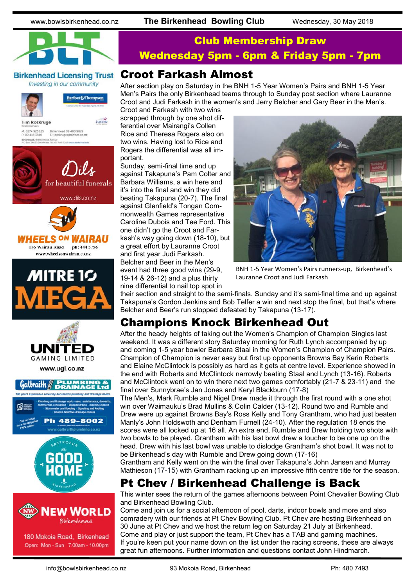www.bowlsbirkenhead.co.nz **The Birkenhead Bowling Club** Wednesday, 30 May 2018



Investing in our community

Birkenhead 09 480 9029<br>E: t.roskruge@barfoot.co

for beautiful funerals

www.dils.co.nz

.<br>Fax. 09 480 9016 www.b

**Tim Roskruge** 

M: 0274 923 125<br>P: 09 418 3846 Birkenhead 24 Br)<br>P O Box 34027 Bin

Barfoot&Thompson

Starship

#### Club Membership Draw Wednesday 5pm - 6pm & Friday 5pm - 7pm

#### Croot Farkash Almost

After section play on Saturday in the BNH 1-5 Year Women's Pairs and BNH 1-5 Year Men's Pairs the only Birkenhead teams through to Sunday post section where Lauranne Croot and Judi Farkash in the women's and Jerry Belcher and Gary Beer in the Men's.

Croot and Farkash with two wins scrapped through by one shot differential over Mairangi's Collen Rice and Theresa Rogers also on two wins. Having lost to Rice and Rogers the differential was all important.

Sunday, semi-final time and up against Takapuna's Pam Colter and Barbara Williams, a win here and it's into the final and win they did beating Takapuna (20-7). The final against Glenfield's Tongan Commonwealth Games representative Caroline Dubois and Tee Ford. This one didn't go the Croot and Farkash's way going down (18-10), but a great effort by Lauranne Croot and first year Judi Farkash. Belcher and Beer in the Men's event had three good wins (29-9, 19-14 & 26-12) and a plus thirty nine differential to nail top spot in



BNH 1-5 Year Women's Pairs runners-up, Birkenhead's Lauranne Croot and Judi Farkash

their section and straight to the semi-finals. Sunday and it's semi-final time and up against Takapuna's Gordon Jenkins and Bob Telfer a win and next stop the final, but that's where Belcher and Beer's run stopped defeated by Takapuna (13-17).

## Champions Knock Birkenhead Out

After the heady heights of taking out the Women's Champion of Champion Singles last weekend. It was a different story Saturday morning for Ruth Lynch accompanied by up and coming 1-5 year bowler Barbara Staal in the Women's Champion of Champion Pairs. Champion of Champion is never easy but first up opponents Browns Bay Kerin Roberts and Elaine McClintock is possibly as hard as it gets at centre level. Experience showed in the end with Roberts and McClintock narrowly beating Staal and Lynch (13-16). Roberts and McClintock went on to win there next two games comfortably (21-7 & 23-11) and the final over Sunnybrae's Jan Jones and Keryl Blackburn (17-8)

The Men's, Mark Rumble and Nigel Drew made it through the first round with a one shot win over Waimauku's Brad Mullins & Colin Calder (13-12). Round two and Rumble and Drew were up against Browns Bay's Ross Kelly and Tony Grantham, who had just beaten Manly's John Holdswoth and Denham Furnell (24-10). After the regulation 18 ends the scores were all locked up at 16 all. An extra end, Rumble and Drew holding two shots with two bowls to be played. Grantham with his last bowl drew a toucher to be one up on the head. Drew with his last bowl was unable to dislodge Grantham's shot bowl. It was not to be Birkenhead's day with Rumble and Drew going down (17-16)

Grantham and Kelly went on the win the final over Takapuna's John Jansen and Murray Mathieson (17-15) with Grantham racking up an impressive fifth centre title for the season.

## Pt Chev / Birkenhead Challenge is Back

This winter sees the return of the games afternoons between Point Chevalier Bowling Club and Birkenhead Bowling Club.

Come and join us for a social afternoon of pool, darts, indoor bowls and more and also comradery with our friends at Pt Chev Bowling Club. Pt Chev are hosting Birkenhead on 30 June at Pt Chev and we host the return leg on Saturday 21 July at Birkenhead. Come and play or just support the team, Pt Chev has a TAB and gaming machines. If you're keen put your name down on the list under the racing screens, these are always great fun afternoons. Further information and questions contact John Hindmarch.







www.ugl.co.nz









180 Mokoia Road, Birkenhead Open: Mon - Sun 7.00am - 10.00pm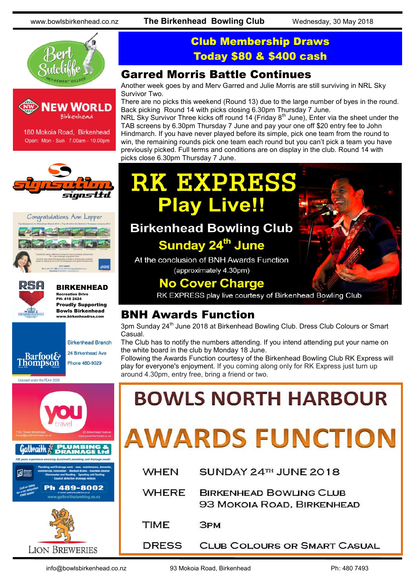www.bowlsbirkenhead.co.nz **The Birkenhead Bowling Club** Wednesday, 30 May 2018





180 Mokoia Road, Birkenhead Open: Mon - Sun 7.00am - 10.00pm







#### BIRKENHEAD Recreation Drive

PH: 418 2424 Proudly Supporting Bowls Birkenhead



Licensed under the REAA 2008



#### Club Membership Draws Today \$80 & \$400 cash

#### Garred Morris Battle Continues

Another week goes by and Merv Garred and Julie Morris are still surviving in NRL Sky Survivor Two.

There are no picks this weekend (Round 13) due to the large number of byes in the round. Back picking Round 14 with picks closing 6.30pm Thursday 7 June.

NRL Sky Survivor Three kicks off round 14 (Friday 8<sup>th</sup> June), Enter via the sheet under the TAB screens by 6.30pm Thursday 7 June and pay your one off \$20 entry fee to John Hindmarch. If you have never played before its simple, pick one team from the round to win, the remaining rounds pick one team each round but you can't pick a team you have previously picked. Full terms and conditions are on display in the club. Round 14 with picks close 6.30pm Thursday 7 June.

# **RK EXPRESS Play Live!!**

# **Birkenhead Bowling Club**

## Sunday 24<sup>th</sup> June

At the conclusion of BNH Awards Function (approximately 4.30pm)

## **No Cover Charge**

RK EXPRESS play live courtesy of Birkenhead Bowling Club

#### **BNH Awards Function**

3pm Sunday 24<sup>th</sup> June 2018 at Birkenhead Bowling Club. Dress Club Colours or Smart Casual.

The Club has to notify the numbers attending. If you intend attending put your name on the white board in the club by Monday 18 June.

Following the Awards Function courtesy of the Birkenhead Bowling Club RK Express will play for everyone's enjoyment. If you coming along only for RK Express just turn up around 4.30pm, entry free, bring a friend or two.

# **BOWLS NORTH HARBOUR**

# **AWARDS FUNCTION**

| <b>WHEN</b>  | SUNDAY 24TH JUNE 2018                                        |
|--------------|--------------------------------------------------------------|
| <b>WHERE</b> | <b>BIRKENHEAD BOWLING CLUB</b><br>93 MOKOIA ROAD, BIRKENHEAD |
| <b>TIME</b>  | <b>3PM</b>                                                   |
| <b>DRESS</b> | <b>CLUB COLOURS OR SMART CASUA</b>                           |